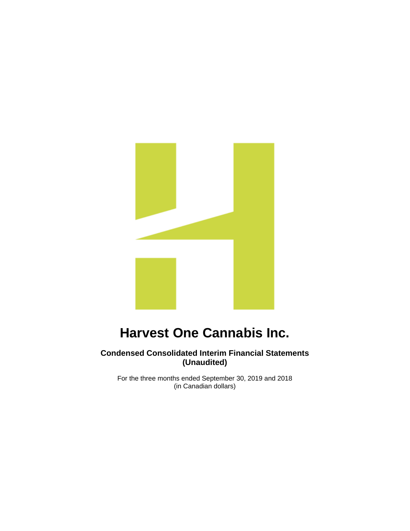

**Condensed Consolidated Interim Financial Statements (Unaudited)**

For the three months ended September 30, 2019 and 2018 (in Canadian dollars)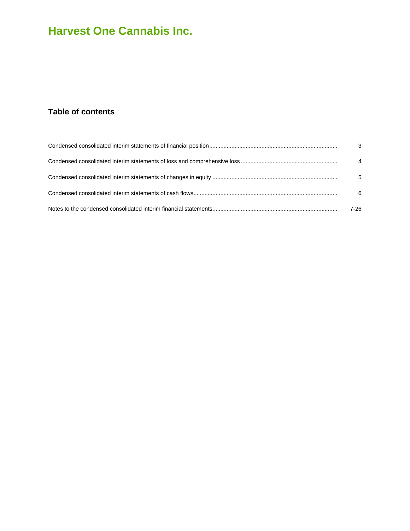### **Table of contents**

| $\mathbf{3}$   |
|----------------|
| $\overline{4}$ |
| 5              |
| 6              |
| 7-26           |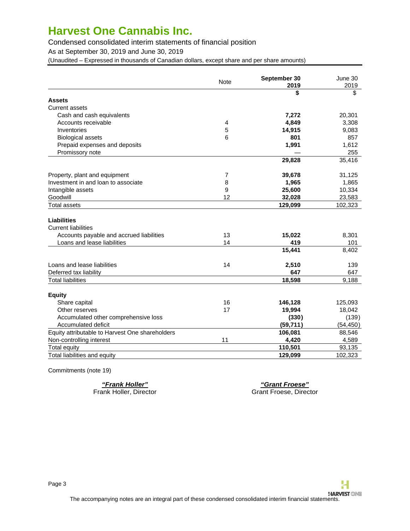### <span id="page-2-0"></span>Condensed consolidated interim statements of financial position

As at September 30, 2019 and June 30, 2019

(Unaudited – Expressed in thousands of Canadian dollars, except share and per share amounts)

|                                                 | <b>Note</b> | September 30<br>2019 | June 30<br>2019 |
|-------------------------------------------------|-------------|----------------------|-----------------|
|                                                 |             | \$                   | \$              |
| <b>Assets</b>                                   |             |                      |                 |
| <b>Current assets</b>                           |             |                      |                 |
| Cash and cash equivalents                       |             | 7,272                | 20,301          |
| Accounts receivable                             | 4           | 4,849                | 3,308           |
| Inventories                                     | 5           | 14,915               | 9,083           |
| <b>Biological assets</b>                        | 6           | 801                  | 857             |
| Prepaid expenses and deposits                   |             | 1,991                | 1,612           |
| Promissory note                                 |             |                      | 255             |
|                                                 |             | 29,828               | 35,416          |
| Property, plant and equipment                   | 7           | 39,678               | 31,125          |
| Investment in and loan to associate             | 8           | 1,965                | 1,865           |
| Intangible assets                               | 9           | 25,600               | 10,334          |
| Goodwill                                        | 12          | 32,028               | 23,583          |
| <b>Total assets</b>                             |             | 129,099              | 102,323         |
| <b>Liabilities</b>                              |             |                      |                 |
| <b>Current liabilities</b>                      |             |                      |                 |
| Accounts payable and accrued liabilities        | 13          | 15,022               | 8,301           |
| Loans and lease liabilities                     | 14          | 419                  | 101             |
|                                                 |             | 15,441               | 8,402           |
| Loans and lease liabilities                     | 14          | 2,510                | 139             |
| Deferred tax liability                          |             | 647                  | 647             |
| <b>Total liabilities</b>                        |             | 18,598               | 9,188           |
| <b>Equity</b>                                   |             |                      |                 |
| Share capital                                   | 16          | 146,128              | 125,093         |
| Other reserves                                  | 17          | 19,994               | 18,042          |
| Accumulated other comprehensive loss            |             | (330)                | (139)           |
| Accumulated deficit                             |             | (59, 711)            | (54, 450)       |
| Equity attributable to Harvest One shareholders |             | 106,081              | 88,546          |
| Non-controlling interest                        | 11          | 4,420                | 4,589           |
| <b>Total equity</b>                             |             | 110,501              | 93,135          |
| Total liabilities and equity                    |             | 129,099              | 102,323         |

Commitments (note 19)

**"Frank Holler" "Grant Froese"**

Grant Froese, Director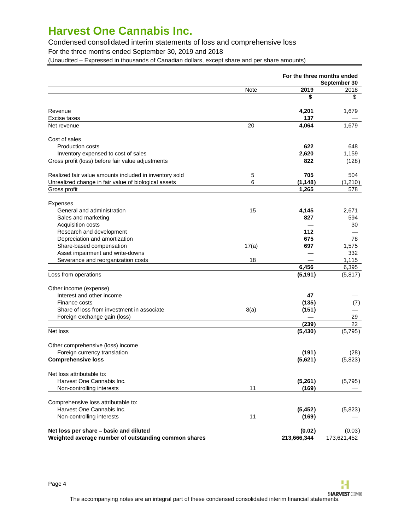Condensed consolidated interim statements of loss and comprehensive loss

For the three months ended September 30, 2019 and 2018

<span id="page-3-0"></span>(Unaudited – Expressed in thousands of Canadian dollars, except share and per share amounts)

|                                                                                                |       |                       | For the three months ended<br>September 30 |
|------------------------------------------------------------------------------------------------|-------|-----------------------|--------------------------------------------|
|                                                                                                | Note  | 2019                  | 2018                                       |
|                                                                                                |       | \$                    | \$                                         |
| Revenue                                                                                        |       | 4,201                 | 1,679                                      |
| Excise taxes                                                                                   |       | 137                   |                                            |
| Net revenue                                                                                    | 20    | 4,064                 | 1,679                                      |
| Cost of sales                                                                                  |       |                       |                                            |
| <b>Production costs</b>                                                                        |       | 622                   | 648                                        |
| Inventory expensed to cost of sales                                                            |       | 2,620                 | 1,159                                      |
| Gross profit (loss) before fair value adjustments                                              |       | 822                   | (128)                                      |
| Realized fair value amounts included in inventory sold                                         | 5     | 705                   | 504                                        |
| Unrealized change in fair value of biological assets                                           | 6     | (1, 148)              | (1,210)                                    |
| Gross profit                                                                                   |       | 1,265                 | 578                                        |
| Expenses                                                                                       |       |                       |                                            |
| General and administration                                                                     | 15    | 4,145                 | 2,671                                      |
| Sales and marketing                                                                            |       | 827                   | 594                                        |
| Acquisition costs                                                                              |       |                       | 30                                         |
| Research and development                                                                       |       | 112                   |                                            |
| Depreciation and amortization                                                                  |       | 675                   | 78                                         |
| Share-based compensation                                                                       | 17(a) | 697                   | 1,575                                      |
| Asset impairment and write-downs                                                               |       |                       | 332                                        |
| Severance and reorganization costs                                                             | 18    |                       | 1,115                                      |
|                                                                                                |       | 6,456                 | 6,395                                      |
| Loss from operations                                                                           |       | (5, 191)              | (5,817)                                    |
| Other income (expense)                                                                         |       |                       |                                            |
| Interest and other income                                                                      |       | 47                    |                                            |
| Finance costs                                                                                  |       | (135)                 | (7)                                        |
| Share of loss from investment in associate                                                     | 8(a)  | (151)                 |                                            |
| Foreign exchange gain (loss)                                                                   |       |                       | 29                                         |
|                                                                                                |       | (239)                 | 22                                         |
| Net loss                                                                                       |       | (5, 430)              | (5,795)                                    |
| Other comprehensive (loss) income                                                              |       |                       |                                            |
| Foreign currency translation                                                                   |       | (191)                 | (28)                                       |
| <b>Comprehensive loss</b>                                                                      |       | (5,621)               | (5,823)                                    |
| Net loss attributable to:                                                                      |       |                       |                                            |
| Harvest One Cannabis Inc.                                                                      |       | (5,261)               | (5,795)                                    |
| Non-controlling interests                                                                      | 11    | (169)                 |                                            |
| Comprehensive loss attributable to:                                                            |       |                       |                                            |
| Harvest One Cannabis Inc.                                                                      |       | (5, 452)              | (5,823)                                    |
| Non-controlling interests                                                                      | 11    | (169)                 |                                            |
| Net loss per share - basic and diluted<br>Weighted average number of outstanding common shares |       | (0.02)<br>213,666,344 | (0.03)<br>173,621,452                      |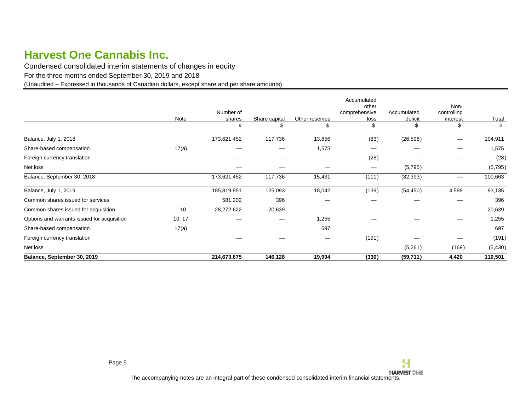Condensed consolidated interim statements of changes in equity

For the three months ended September 30, 2019 and 2018

(Unaudited – Expressed in thousands of Canadian dollars, except share and per share amounts)

<span id="page-4-0"></span>

| Accumulated<br>Non-<br>other<br>Number of<br>comprehensive<br>controlling<br>Accumulated<br>deficit<br>Note<br>Total<br>Share capital<br>Other reserves<br>shares<br>loss<br>interest<br>\$<br>\$<br>\$<br>#<br>S<br>\$<br>\$<br>(83)<br>(26, 598)<br>Balance, July 1, 2018<br>173,621,452<br>117,736<br>13,856<br>104,911<br>$\overline{\phantom{m}}$<br>17(a)<br>1,575<br>1,575<br>Share-based compensation<br>(28)<br>Foreign currency translation<br>(5,795)<br>Net loss<br>$\hspace{0.1mm}-\hspace{0.1mm}$<br>173,621,452<br>117,736<br>100,663<br>Balance, September 30, 2018<br>15,431<br>(111)<br>(32, 393)<br>$\overline{\phantom{m}}$<br>(139)<br>125,093<br>18,042<br>(54, 450)<br>4,589<br>Balance, July 1, 2019<br>185,819,851<br>396<br>Common shares issued for services<br>581,202<br>396<br>20,639<br>Common shares issued for acquisition<br>10<br>28,272,622<br>20,639<br>$\hspace{0.05cm}$<br>1,255<br>Options and warrants issued for acquisition<br>10, 17<br>1,255<br>697<br>697<br>Share-based compensation<br>17(a)<br>Foreign currency translation<br>(191)<br>$\hspace{1.0cm} \overline{\hspace{1.0cm} \hspace{1.0cm} \hspace{1.0cm} \hspace{1.0cm} } \hspace{1.0cm} \hspace{1.0cm} \hspace{1.0cm} \hspace{1.0cm} \hspace{1.0cm} \hspace{1.0cm} \hspace{1.0cm} \hspace{1.0cm} \hspace{1.0cm} \hspace{1.0cm} \hspace{1.0cm} \hspace{1.0cm} \hspace{1.0cm} \hspace{1.0cm} \hspace{1.0cm} \hspace{1.0cm} \hspace{1.0cm} \hspace{1.0cm} \hspace{1.0cm}$<br>$\hspace{0.05cm}$<br>(5,261)<br>(169)<br>Net loss<br>$\hspace{0.05cm}$ | Balance, September 30, 2019 | 214,673,675 | 146,128 | 19,994 | (330) | (59, 711) | 4,420 | 110,501  |
|----------------------------------------------------------------------------------------------------------------------------------------------------------------------------------------------------------------------------------------------------------------------------------------------------------------------------------------------------------------------------------------------------------------------------------------------------------------------------------------------------------------------------------------------------------------------------------------------------------------------------------------------------------------------------------------------------------------------------------------------------------------------------------------------------------------------------------------------------------------------------------------------------------------------------------------------------------------------------------------------------------------------------------------------------------------------------------------------------------------------------------------------------------------------------------------------------------------------------------------------------------------------------------------------------------------------------------------------------------------------------------------------------------------------------------------------------------------------------------------------------------------------------------------------------------|-----------------------------|-------------|---------|--------|-------|-----------|-------|----------|
|                                                                                                                                                                                                                                                                                                                                                                                                                                                                                                                                                                                                                                                                                                                                                                                                                                                                                                                                                                                                                                                                                                                                                                                                                                                                                                                                                                                                                                                                                                                                                          |                             |             |         |        |       |           |       | (5, 430) |
|                                                                                                                                                                                                                                                                                                                                                                                                                                                                                                                                                                                                                                                                                                                                                                                                                                                                                                                                                                                                                                                                                                                                                                                                                                                                                                                                                                                                                                                                                                                                                          |                             |             |         |        |       |           |       | (191)    |
|                                                                                                                                                                                                                                                                                                                                                                                                                                                                                                                                                                                                                                                                                                                                                                                                                                                                                                                                                                                                                                                                                                                                                                                                                                                                                                                                                                                                                                                                                                                                                          |                             |             |         |        |       |           |       |          |
|                                                                                                                                                                                                                                                                                                                                                                                                                                                                                                                                                                                                                                                                                                                                                                                                                                                                                                                                                                                                                                                                                                                                                                                                                                                                                                                                                                                                                                                                                                                                                          |                             |             |         |        |       |           |       |          |
|                                                                                                                                                                                                                                                                                                                                                                                                                                                                                                                                                                                                                                                                                                                                                                                                                                                                                                                                                                                                                                                                                                                                                                                                                                                                                                                                                                                                                                                                                                                                                          |                             |             |         |        |       |           |       |          |
|                                                                                                                                                                                                                                                                                                                                                                                                                                                                                                                                                                                                                                                                                                                                                                                                                                                                                                                                                                                                                                                                                                                                                                                                                                                                                                                                                                                                                                                                                                                                                          |                             |             |         |        |       |           |       |          |
|                                                                                                                                                                                                                                                                                                                                                                                                                                                                                                                                                                                                                                                                                                                                                                                                                                                                                                                                                                                                                                                                                                                                                                                                                                                                                                                                                                                                                                                                                                                                                          |                             |             |         |        |       |           |       | 93,135   |
|                                                                                                                                                                                                                                                                                                                                                                                                                                                                                                                                                                                                                                                                                                                                                                                                                                                                                                                                                                                                                                                                                                                                                                                                                                                                                                                                                                                                                                                                                                                                                          |                             |             |         |        |       |           |       |          |
|                                                                                                                                                                                                                                                                                                                                                                                                                                                                                                                                                                                                                                                                                                                                                                                                                                                                                                                                                                                                                                                                                                                                                                                                                                                                                                                                                                                                                                                                                                                                                          |                             |             |         |        |       |           |       | (5,795)  |
|                                                                                                                                                                                                                                                                                                                                                                                                                                                                                                                                                                                                                                                                                                                                                                                                                                                                                                                                                                                                                                                                                                                                                                                                                                                                                                                                                                                                                                                                                                                                                          |                             |             |         |        |       |           |       | (28)     |
|                                                                                                                                                                                                                                                                                                                                                                                                                                                                                                                                                                                                                                                                                                                                                                                                                                                                                                                                                                                                                                                                                                                                                                                                                                                                                                                                                                                                                                                                                                                                                          |                             |             |         |        |       |           |       |          |
|                                                                                                                                                                                                                                                                                                                                                                                                                                                                                                                                                                                                                                                                                                                                                                                                                                                                                                                                                                                                                                                                                                                                                                                                                                                                                                                                                                                                                                                                                                                                                          |                             |             |         |        |       |           |       |          |
|                                                                                                                                                                                                                                                                                                                                                                                                                                                                                                                                                                                                                                                                                                                                                                                                                                                                                                                                                                                                                                                                                                                                                                                                                                                                                                                                                                                                                                                                                                                                                          |                             |             |         |        |       |           |       |          |
|                                                                                                                                                                                                                                                                                                                                                                                                                                                                                                                                                                                                                                                                                                                                                                                                                                                                                                                                                                                                                                                                                                                                                                                                                                                                                                                                                                                                                                                                                                                                                          |                             |             |         |        |       |           |       |          |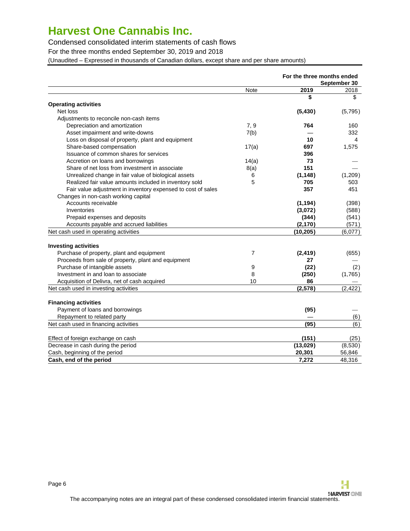### Condensed consolidated interim statements of cash flows

For the three months ended September 30, 2019 and 2018

(Unaudited – Expressed in thousands of Canadian dollars, except share and per share amounts)

<span id="page-5-0"></span>

|                                                              |             | For the three months ended | September 30 |
|--------------------------------------------------------------|-------------|----------------------------|--------------|
|                                                              | <b>Note</b> | 2019                       | 2018         |
|                                                              |             | \$                         | \$           |
| <b>Operating activities</b>                                  |             |                            |              |
| Net loss                                                     |             | (5, 430)                   | (5,795)      |
| Adjustments to reconcile non-cash items                      |             |                            |              |
| Depreciation and amortization                                | 7, 9        | 764                        | 160          |
| Asset impairment and write-downs                             | 7(b)        |                            | 332          |
| Loss on disposal of property, plant and equipment            |             | 10                         | 4            |
| Share-based compensation                                     | 17(a)       | 697                        | 1,575        |
| Issuance of common shares for services                       |             | 396                        |              |
| Accretion on loans and borrowings                            | 14(a)       | 73                         |              |
| Share of net loss from investment in associate               | 8(a)        | 151                        |              |
| Unrealized change in fair value of biological assets         | 6           | (1, 148)                   | (1,209)      |
| Realized fair value amounts included in inventory sold       | 5           | 705                        | 503          |
| Fair value adjustment in inventory expensed to cost of sales |             | 357                        | 451          |
| Changes in non-cash working capital                          |             |                            |              |
| Accounts receivable                                          |             | (1, 194)                   | (398)        |
| Inventories                                                  |             | (3,072)                    | (588)        |
| Prepaid expenses and deposits                                |             | (344)                      | (541)        |
| Accounts payable and accrued liabilities                     |             | (2, 170)                   | (571)        |
| Net cash used in operating activities                        |             | (10, 205)                  | (6,077)      |
|                                                              |             |                            |              |
| <b>Investing activities</b>                                  |             |                            |              |
| Purchase of property, plant and equipment                    | 7           | (2, 419)                   | (655)        |
| Proceeds from sale of property, plant and equipment          |             | 27                         |              |
| Purchase of intangible assets                                | 9           | (22)                       | (2)          |
| Investment in and loan to associate                          | 8           | (250)                      | (1,765)      |
| Acquisition of Delivra, net of cash acquired                 | 10          | 86                         |              |
| Net cash used in investing activities                        |             | (2,578)                    | (2, 422)     |
|                                                              |             |                            |              |
| <b>Financing activities</b>                                  |             |                            |              |
| Payment of loans and borrowings                              |             | (95)                       |              |
| Repayment to related party                                   |             |                            | (6)          |
| Net cash used in financing activities                        |             | (95)                       | (6)          |
|                                                              |             |                            |              |
| Effect of foreign exchange on cash                           |             | (151)                      | (25)         |
| Decrease in cash during the period                           |             | (13,029)                   | (8,530)      |
| Cash, beginning of the period                                |             | 20,301                     | 56,846       |
| Cash, end of the period                                      |             | 7,272                      | 48,316       |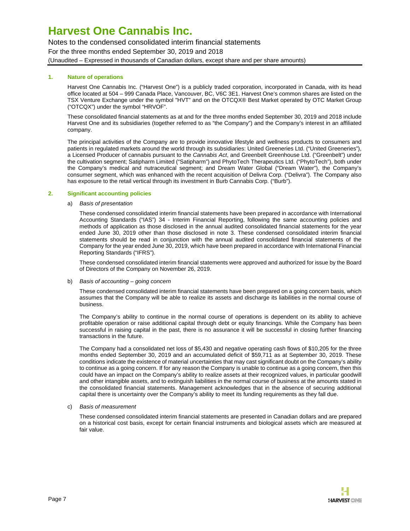Notes to the condensed consolidated interim financial statements For the three months ended September 30, 2019 and 2018 (Unaudited – Expressed in thousands of Canadian dollars, except share and per share amounts)

### **1. Nature of operations**

<span id="page-6-0"></span>Harvest One Cannabis Inc. ("Harvest One") is a publicly traded corporation, incorporated in Canada, with its head office located at 504 – 999 Canada Place, Vancouver, BC, V6C 3E1. Harvest One's common shares are listed on the TSX Venture Exchange under the symbol "HVT" and on the OTCQX® Best Market operated by OTC Market Group ("OTCQX") under the symbol "HRVOF".

These consolidated financial statements as at and for the three months ended September 30, 2019 and 2018 include Harvest One and its subsidiaries (together referred to as "the Company") and the Company's interest in an affiliated company.

The principal activities of the Company are to provide innovative lifestyle and wellness products to consumers and patients in regulated markets around the world through its subsidiaries: United Greeneries Ltd. ("United Greeneries"), a Licensed Producer of cannabis pursuant to the Cannabis Act, and Greenbelt Greenhouse Ltd. ("Greenbelt") under the cultivation segment; Satipharm Limited ("Satipharm") and PhytoTech Therapeutics Ltd. ("PhytoTech"), both under the Company's medical and nutraceutical segment; and Dream Water Global ("Dream Water"), the Company's consumer segment, which was enhanced with the recent acquisition of Delivra Corp. ("Delivra"). The Company also has exposure to the retail vertical through its investment in Burb Cannabis Corp. ("Burb").

#### **2. Significant accounting policies**

#### a) Basis of presentation

These condensed consolidated interim financial statements have been prepared in accordance with International Accounting Standards ("IAS") 34 - Interim Financial Reporting, following the same accounting policies and methods of application as those disclosed in the annual audited consolidated financial statements for the year ended June 30, 2019 other than those disclosed in note 3. These condensed consolidated interim financial statements should be read in conjunction with the annual audited consolidated financial statements of the Company for the year ended June 30, 2019, which have been prepared in accordance with International Financial Reporting Standards ("IFRS").

These condensed consolidated interim financial statements were approved and authorized for issue by the Board of Directors of the Company on November 26, 2019.

#### b) Basis of accounting – going concern

These condensed consolidated interim financial statements have been prepared on a going concern basis, which assumes that the Company will be able to realize its assets and discharge its liabilities in the normal course of business.

The Company's ability to continue in the normal course of operations is dependent on its ability to achieve profitable operation or raise additional capital through debt or equity financings. While the Company has been successful in raising capital in the past, there is no assurance it will be successful in closing further financing transactions in the future.

The Company had a consolidated net loss of \$5,430 and negative operating cash flows of \$10,205 for the three months ended September 30, 2019 and an accumulated deficit of \$59,711 as at September 30, 2019. These conditions indicate the existence of material uncertainties that may cast significant doubt on the Company's ability to continue as a going concern. If for any reason the Company is unable to continue as a going concern, then this could have an impact on the Company's ability to realize assets at their recognized values, in particular goodwill and other intangible assets, and to extinguish liabilities in the normal course of business at the amounts stated in the consolidated financial statements. Management acknowledges that in the absence of securing additional capital there is uncertainty over the Company's ability to meet its funding requirements as they fall due.

#### c) Basis of measurement

These condensed consolidated interim financial statements are presented in Canadian dollars and are prepared on a historical cost basis, except for certain financial instruments and biological assets which are measured at fair value.

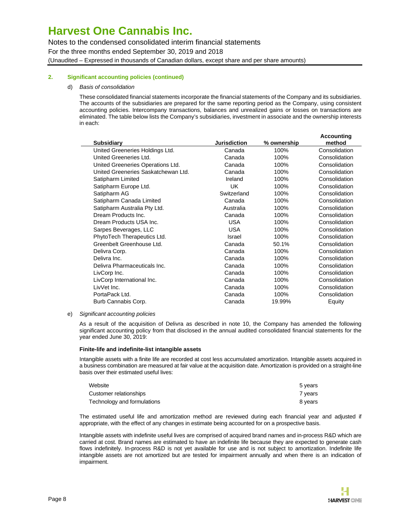Notes to the condensed consolidated interim financial statements

For the three months ended September 30, 2019 and 2018

(Unaudited – Expressed in thousands of Canadian dollars, except share and per share amounts)

### **2. Significant accounting policies (continued)**

### d) Basis of consolidation

These consolidated financial statements incorporate the financial statements of the Company and its subsidiaries. The accounts of the subsidiaries are prepared for the same reporting period as the Company, using consistent accounting policies. Intercompany transactions, balances and unrealized gains or losses on transactions are eliminated. The table below lists the Company's subsidiaries, investment in associate and the ownership interests in each:

|                                     |                     |             | Accounting    |
|-------------------------------------|---------------------|-------------|---------------|
| <b>Subsidiary</b>                   | <b>Jurisdiction</b> | % ownership | method        |
| United Greeneries Holdings Ltd.     | Canada              | 100%        | Consolidation |
| United Greeneries Ltd.              | Canada              | 100%        | Consolidation |
| United Greeneries Operations Ltd.   | Canada              | 100%        | Consolidation |
| United Greeneries Saskatchewan Ltd. | Canada              | 100%        | Consolidation |
| Satipharm Limited                   | Ireland             | 100%        | Consolidation |
| Satipharm Europe Ltd.               | UK.                 | 100%        | Consolidation |
| Satipharm AG                        | Switzerland         | 100%        | Consolidation |
| Satipharm Canada Limited            | Canada              | 100%        | Consolidation |
| Satipharm Australia Pty Ltd.        | Australia           | 100%        | Consolidation |
| Dream Products Inc.                 | Canada              | 100%        | Consolidation |
| Dream Products USA Inc.             | <b>USA</b>          | 100%        | Consolidation |
| Sarpes Beverages, LLC               | USA.                | 100%        | Consolidation |
| PhytoTech Therapeutics Ltd.         | Israel              | 100%        | Consolidation |
| Greenbelt Greenhouse Ltd.           | Canada              | 50.1%       | Consolidation |
| Delivra Corp.                       | Canada              | 100%        | Consolidation |
| Delivra Inc.                        | Canada              | 100%        | Consolidation |
| Delivra Pharmaceuticals Inc.        | Canada              | 100%        | Consolidation |
| LivCorp Inc.                        | Canada              | 100%        | Consolidation |
| LivCorp International Inc.          | Canada              | 100%        | Consolidation |
| LivVet Inc.                         | Canada              | 100%        | Consolidation |
| PortaPack Ltd.                      | Canada              | 100%        | Consolidation |
| Burb Cannabis Corp.                 | Canada              | 19.99%      | Equity        |
|                                     |                     |             |               |

### e) Significant accounting policies

As a result of the acquisition of Delivra as described in note 10, the Company has amended the following significant accounting policy from that disclosed in the annual audited consolidated financial statements for the year ended June 30, 2019:

### **Finite-life and indefinite-list intangible assets**

Intangible assets with a finite life are recorded at cost less accumulated amortization. Intangible assets acquired in a business combination are measured at fair value at the acquisition date. Amortization is provided on a straight-line basis over their estimated useful lives:

| Website                     | 5 years |
|-----------------------------|---------|
| Customer relationships      | 7 vears |
| Technology and formulations | 8 years |

The estimated useful life and amortization method are reviewed during each financial year and adjusted if appropriate, with the effect of any changes in estimate being accounted for on a prospective basis.

Intangible assets with indefinite useful lives are comprised of acquired brand names and in-process R&D which are carried at cost. Brand names are estimated to have an indefinite life because they are expected to generate cash flows indefinitely. In-process R&D is not yet available for use and is not subject to amortization. Indefinite life intangible assets are not amortized but are tested for impairment annually and when there is an indication of impairment.

**Accounting**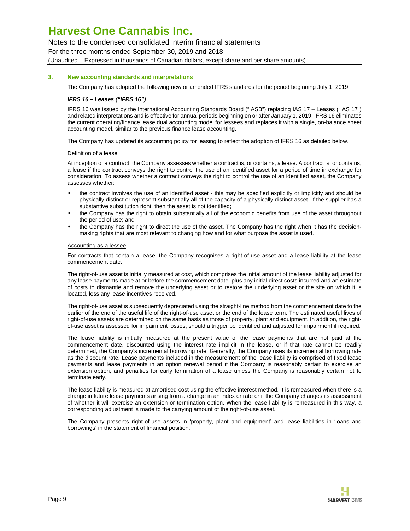Notes to the condensed consolidated interim financial statements

For the three months ended September 30, 2019 and 2018

(Unaudited – Expressed in thousands of Canadian dollars, except share and per share amounts)

### **3. New accounting standards and interpretations**

The Company has adopted the following new or amended IFRS standards for the period beginning July 1, 2019.

### **IFRS 16 – Leases ("IFRS 16")**

IFRS 16 was issued by the International Accounting Standards Board ("IASB") replacing IAS 17 – Leases ("IAS 17") and related interpretations and is effective for annual periods beginning on or after January 1, 2019. IFRS 16 eliminates the current operating/finance lease dual accounting model for lessees and replaces it with a single, on-balance sheet accounting model, similar to the previous finance lease accounting.

The Company has updated its accounting policy for leasing to reflect the adoption of IFRS 16 as detailed below.

### Definition of a lease

At inception of a contract, the Company assesses whether a contract is, or contains, a lease. A contract is, or contains, a lease if the contract conveys the right to control the use of an identified asset for a period of time in exchange for consideration. To assess whether a contract conveys the right to control the use of an identified asset, the Company assesses whether:

- the contract involves the use of an identified asset this may be specified explicitly or implicitly and should be physically distinct or represent substantially all of the capacity of a physically distinct asset. If the supplier has a substantive substitution right, then the asset is not identified;
- the Company has the right to obtain substantially all of the economic benefits from use of the asset throughout the period of use; and
- the Company has the right to direct the use of the asset. The Company has the right when it has the decisionmaking rights that are most relevant to changing how and for what purpose the asset is used.

#### Accounting as a lessee

For contracts that contain a lease, the Company recognises a right-of-use asset and a lease liability at the lease commencement date.

The right-of-use asset is initially measured at cost, which comprises the initial amount of the lease liability adjusted for any lease payments made at or before the commencement date, plus any initial direct costs incurred and an estimate of costs to dismantle and remove the underlying asset or to restore the underlying asset or the site on which it is located, less any lease incentives received.

The right-of-use asset is subsequently depreciated using the straight-line method from the commencement date to the earlier of the end of the useful life of the right-of-use asset or the end of the lease term. The estimated useful lives of right-of-use assets are determined on the same basis as those of property, plant and equipment. In addition, the rightof-use asset is assessed for impairment losses, should a trigger be identified and adjusted for impairment if required.

The lease liability is initially measured at the present value of the lease payments that are not paid at the commencement date, discounted using the interest rate implicit in the lease, or if that rate cannot be readily determined, the Company's incremental borrowing rate. Generally, the Company uses its incremental borrowing rate as the discount rate. Lease payments included in the measurement of the lease liability is comprised of fixed lease payments and lease payments in an option renewal period if the Company is reasonably certain to exercise an extension option, and penalties for early termination of a lease unless the Company is reasonably certain not to terminate early.

The lease liability is measured at amortised cost using the effective interest method. It is remeasured when there is a change in future lease payments arising from a change in an index or rate or if the Company changes its assessment of whether it will exercise an extension or termination option. When the lease liability is remeasured in this way, a corresponding adjustment is made to the carrying amount of the right-of-use asset.

The Company presents right-of-use assets in 'property, plant and equipment' and lease liabilities in 'loans and borrowings' in the statement of financial position.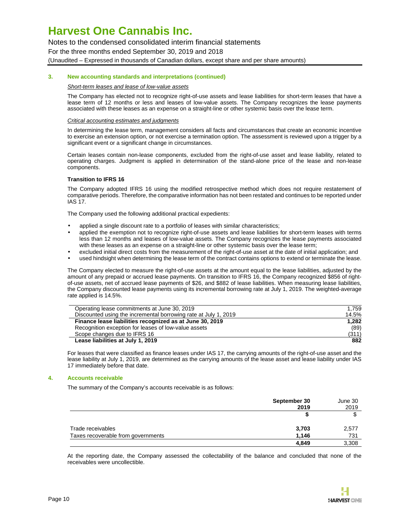Notes to the condensed consolidated interim financial statements

For the three months ended September 30, 2019 and 2018

(Unaudited – Expressed in thousands of Canadian dollars, except share and per share amounts)

#### **3. New accounting standards and interpretations (continued)**

#### Short-term leases and lease of low-value assets

The Company has elected not to recognize right-of-use assets and lease liabilities for short-term leases that have a lease term of 12 months or less and leases of low-value assets. The Company recognizes the lease payments associated with these leases as an expense on a straight-line or other systemic basis over the lease term.

#### Critical accounting estimates and judgments

In determining the lease term, management considers all facts and circumstances that create an economic incentive to exercise an extension option, or not exercise a termination option. The assessment is reviewed upon a trigger by a significant event or a significant change in circumstances.

Certain leases contain non-lease components, excluded from the right-of-use asset and lease liability, related to operating charges. Judgment is applied in determination of the stand-alone price of the lease and non-lease components.

#### **Transition to IFRS 16**

The Company adopted IFRS 16 using the modified retrospective method which does not require restatement of comparative periods. Therefore, the comparative information has not been restated and continues to be reported under IAS 17.

The Company used the following additional practical expedients:

- applied a single discount rate to a portfolio of leases with similar characteristics;
- applied the exemption not to recognize right-of-use assets and lease liabilities for short-term leases with terms less than 12 months and leases of low-value assets. The Company recognizes the lease payments associated with these leases as an expense on a straight-line or other systemic basis over the lease term;
- excluded initial direct costs from the measurement of the right-of-use asset at the date of initial application; and
- used hindsight when determining the lease term of the contract contains options to extend or terminate the lease.

The Company elected to measure the right-of-use assets at the amount equal to the lease liabilities, adjusted by the amount of any prepaid or accrued lease payments. On transition to IFRS 16, the Company recognized \$856 of rightof-use assets, net of accrued lease payments of \$26, and \$882 of lease liabilities. When measuring lease liabilities, the Company discounted lease payments using its incremental borrowing rate at July 1, 2019. The weighted-average rate applied is 14.5%.

| Operating lease commitments at June 30, 2019                    | 1.759 |
|-----------------------------------------------------------------|-------|
| Discounted using the incremental borrowing rate at July 1, 2019 | 14.5% |
| Finance lease liabilities recognized as at June 30, 2019        | 1.282 |
| Recognition exception for leases of low-value assets            | (89)  |
| Scope changes due to IFRS 16                                    | (311) |
| Lease liabilities at July 1, 2019                               | 882   |

For leases that were classified as finance leases under IAS 17, the carrying amounts of the right-of-use asset and the lease liability at July 1, 2019, are determined as the carrying amounts of the lease asset and lease liability under IAS 17 immediately before that date.

#### **4. Accounts receivable**

The summary of the Company's accounts receivable is as follows:

|                                    | September 30 | June 30 |
|------------------------------------|--------------|---------|
|                                    | 2019         | 2019    |
|                                    |              |         |
| Trade receivables                  | 3,703        | 2,577   |
| Taxes recoverable from governments | 1.146        | 731     |
|                                    | 4,849        | 3,308   |

At the reporting date, the Company assessed the collectability of the balance and concluded that none of the receivables were uncollectible.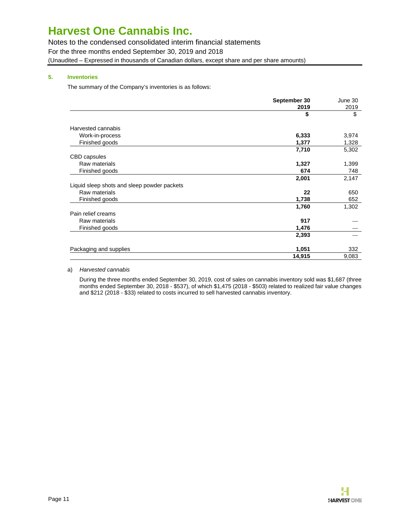Notes to the condensed consolidated interim financial statements

For the three months ended September 30, 2019 and 2018

(Unaudited – Expressed in thousands of Canadian dollars, except share and per share amounts)

### **5. Inventories**

The summary of the Company's inventories is as follows:

| 2019<br>\$<br>Harvested cannabis<br>Work-in-process<br>6,333<br>Finished goods<br>1,377<br>7,710<br>CBD capsules<br>Raw materials<br>1,327<br>Finished goods<br>674<br>2,001<br>Liquid sleep shots and sleep powder packets<br>Raw materials<br>22 | June 30 |
|----------------------------------------------------------------------------------------------------------------------------------------------------------------------------------------------------------------------------------------------------|---------|
|                                                                                                                                                                                                                                                    | 2019    |
|                                                                                                                                                                                                                                                    | \$      |
|                                                                                                                                                                                                                                                    |         |
|                                                                                                                                                                                                                                                    | 3,974   |
|                                                                                                                                                                                                                                                    | 1,328   |
|                                                                                                                                                                                                                                                    | 5,302   |
|                                                                                                                                                                                                                                                    |         |
|                                                                                                                                                                                                                                                    | 1,399   |
|                                                                                                                                                                                                                                                    | 748     |
|                                                                                                                                                                                                                                                    | 2,147   |
|                                                                                                                                                                                                                                                    |         |
|                                                                                                                                                                                                                                                    | 650     |
| Finished goods<br>1,738                                                                                                                                                                                                                            | 652     |
| 1,760                                                                                                                                                                                                                                              | 1,302   |
| Pain relief creams                                                                                                                                                                                                                                 |         |
| 917<br>Raw materials                                                                                                                                                                                                                               |         |
| Finished goods<br>1,476                                                                                                                                                                                                                            |         |
| 2,393                                                                                                                                                                                                                                              |         |
| Packaging and supplies<br>1,051                                                                                                                                                                                                                    | 332     |
| 14,915                                                                                                                                                                                                                                             | 9,083   |

#### a) Harvested cannabis

During the three months ended September 30, 2019, cost of sales on cannabis inventory sold was \$1,687 (three months ended September 30, 2018 - \$537), of which \$1,475 (2018 - \$503) related to realized fair value changes and \$212 (2018 - \$33) related to costs incurred to sell harvested cannabis inventory.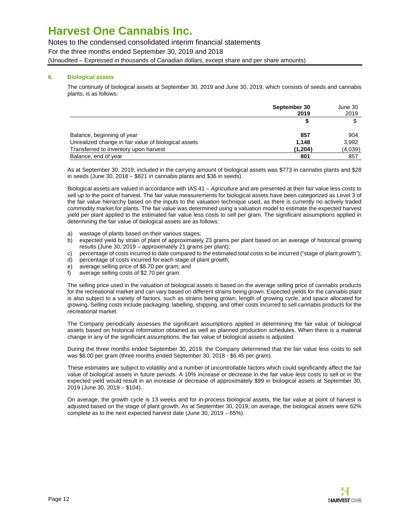Notes to the condensed consolidated interim financial statements

For the three months ended September 30, 2019 and 2018

(Unaudited – Expressed in thousands of Canadian dollars, except share and per share amounts)

### **6. Biological assets**

The continuity of biological assets at September 30, 2019 and June 30, 2019, which consists of seeds and cannabis plants, is as follows:

|                                                      | September 30 | June 30 |
|------------------------------------------------------|--------------|---------|
|                                                      | 2019         | 2019    |
|                                                      |              |         |
| Balance, beginning of year                           | 857          | 904     |
| Unrealized change in fair value of biological assets | 1.148        | 3,992   |
| Transferred to inventory upon harvest                | (1.204)      | (4,039) |
| Balance, end of year                                 | 801          | 857     |

As at September 30, 2019, included in the carrying amount of biological assets was \$773 in cannabis plants and \$28 in seeds (June 30, 2018 – \$821 in cannabis plants and \$36 in seeds).

Biological assets are valued in accordance with IAS 41 - Agriculture and are presented at their fair value less costs to sell up to the point of harvest. The fair value measurements for biological assets have been categorized as Level 3 of the fair value hierarchy based on the inputs to the valuation technique used, as there is currently no actively traded commodity market for plants. The fair value was determined using a valuation model to estimate the expected harvest yield per plant applied to the estimated fair value less costs to sell per gram. The significant assumptions applied in determining the fair value of biological assets are as follows:

- a) wastage of plants based on their various stages;
- b) expected yield by strain of plant of approximately 23 grams per plant based on an average of historical growing results (June 30, 2019 – approximately 21 grams per plant);
- c) percentage of costs incurred to date compared to the estimated total costs to be incurred ("stage of plant growth");
- d) percentage of costs incurred for each stage of plant growth;
- e) average selling price of \$8.70 per gram; and
- f) average selling costs of \$2.70 per gram.

The selling price used in the valuation of biological assets is based on the average selling price of cannabis products for the recreational market and can vary based on different strains being grown. Expected yields for the cannabis plant is also subject to a variety of factors, such as strains being grown, length of growing cycle, and space allocated for growing. Selling costs include packaging, labelling, shipping, and other costs incurred to sell cannabis products for the recreational market.

The Company periodically assesses the significant assumptions applied in determining the fair value of biological assets based on historical information obtained as well as planned production schedules. When there is a material change in any of the significant assumptions, the fair value of biological assets is adjusted.

During the three months ended September 30, 2019, the Company determined that the fair value less costs to sell was \$6.00 per gram (three months ended September 30, 2018 - \$6.45 per gram).

These estimates are subject to volatility and a number of uncontrollable factors which could significantly affect the fair value of biological assets in future periods. A 10% increase or decrease in the fair value less costs to sell or in the expected yield would result in an increase or decrease of approximately \$99 in biological assets at September 30, 2019 (June 30, 2019 – \$104).

On average, the growth cycle is 13 weeks and for in-process biological assets, the fair value at point of harvest is adjusted based on the stage of plant growth. As at September 30, 2019, on average, the biological assets were 62% complete as to the next expected harvest date (June 30, 2019 – 65%).

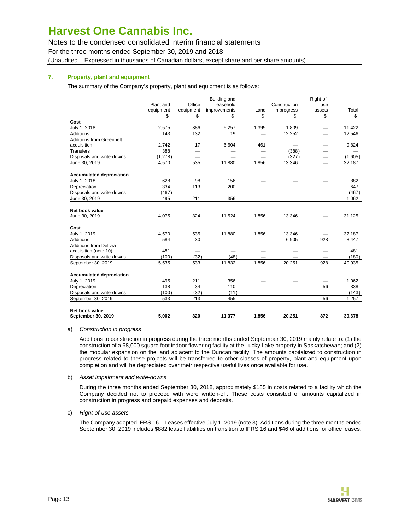Notes to the condensed consolidated interim financial statements

For the three months ended September 30, 2019 and 2018

(Unaudited – Expressed in thousands of Canadian dollars, except share and per share amounts)

### **7. Property, plant and equipment**

The summary of the Company's property, plant and equipment is as follows:

|                                 |           |                          | Building and        |                                 |                          | Right-of-                |         |
|---------------------------------|-----------|--------------------------|---------------------|---------------------------------|--------------------------|--------------------------|---------|
|                                 | Plant and | Office                   | leasehold           |                                 | Construction             | use                      |         |
|                                 | equipment | equipment                | <i>improvements</i> | Land                            | in progress              | assets                   | Total   |
|                                 | \$        | \$                       | \$                  | \$                              | \$                       | \$                       | \$      |
| Cost                            |           |                          |                     |                                 |                          |                          |         |
| July 1, 2018                    | 2,575     | 386                      | 5,257               | 1,395                           | 1,809                    | $\overline{\phantom{0}}$ | 11,422  |
| Additions                       | 143       | 132                      | 19                  |                                 | 12,252                   | $\overline{\phantom{0}}$ | 12,546  |
| <b>Additions from Greenbelt</b> |           |                          |                     |                                 |                          |                          |         |
| acquisition                     | 2,742     | 17                       | 6,604               | 461                             | -                        |                          | 9,824   |
| <b>Transfers</b>                | 388       |                          |                     |                                 | (388)                    |                          |         |
| Disposals and write-downs       | (1,278)   | $\overline{\phantom{0}}$ |                     |                                 | (327)                    |                          | (1,605) |
| June 30, 2019                   | 4,570     | 535                      | 11,880              | 1,856                           | 13,346                   |                          | 32,187  |
| <b>Accumulated depreciation</b> |           |                          |                     |                                 |                          |                          |         |
| July 1, 2018                    | 628       | 98                       | 156                 |                                 |                          |                          | 882     |
| Depreciation                    | 334       | 113                      | 200                 |                                 |                          |                          | 647     |
| Disposals and write-downs       | (467)     |                          |                     |                                 |                          |                          | (467)   |
| June 30, 2019                   | 495       | 211                      | 356                 | $\hspace{0.1mm}-\hspace{0.1mm}$ | $\overline{\phantom{0}}$ |                          | 1,062   |
| Net book value                  |           |                          |                     |                                 |                          |                          |         |
| June 30, 2019                   | 4,075     | 324                      | 11,524              | 1,856                           | 13,346                   |                          | 31,125  |
|                                 |           |                          |                     |                                 |                          |                          |         |
| Cost                            |           |                          |                     |                                 |                          |                          |         |
| July 1, 2019                    | 4,570     | 535                      | 11,880              | 1,856                           | 13,346                   |                          | 32,187  |
| Additions                       | 584       | 30                       |                     |                                 | 6,905                    | 928                      | 8,447   |
| <b>Additions from Delivra</b>   |           |                          |                     |                                 |                          |                          |         |
| acquisition (note 10)           | 481       | $\overline{\phantom{0}}$ |                     |                                 |                          |                          | 481     |
| Disposals and write-downs       | (100)     | (32)                     | (48)                |                                 |                          |                          | (180)   |
| September 30, 2019              | 5,535     | 533                      | 11,832              | 1,856                           | 20,251                   | 928                      | 40,935  |
| <b>Accumulated depreciation</b> |           |                          |                     |                                 |                          |                          |         |
| July 1, 2019                    | 495       | 211                      | 356                 |                                 |                          |                          | 1,062   |
| Depreciation                    | 138       | 34                       | 110                 |                                 |                          | 56                       | 338     |
| Disposals and write-downs       | (100)     | (32)                     | (11)                |                                 |                          | $\overline{\phantom{0}}$ | (143)   |
| September 30, 2019              | 533       | 213                      | 455                 |                                 |                          | 56                       | 1,257   |
|                                 |           |                          |                     |                                 |                          |                          |         |
| Net book value                  |           |                          |                     |                                 |                          |                          |         |
| September 30, 2019              | 5,002     | 320                      | 11,377              | 1,856                           | 20,251                   | 872                      | 39,678  |

### a) Construction in progress

Additions to construction in progress during the three months ended September 30, 2019 mainly relate to: (1) the construction of a 68,000 square foot indoor flowering facility at the Lucky Lake property in Saskatchewan; and (2) the modular expansion on the land adjacent to the Duncan facility. The amounts capitalized to construction in progress related to these projects will be transferred to other classes of property, plant and equipment upon completion and will be depreciated over their respective useful lives once available for use.

b) Asset impairment and write-downs

During the three months ended September 30, 2018, approximately \$185 in costs related to a facility which the Company decided not to proceed with were written-off. These costs consisted of amounts capitalized in construction in progress and prepaid expenses and deposits.

c) Right-of-use assets

The Company adopted IFRS 16 – Leases effective July 1, 2019 (note 3). Additions during the three months ended September 30, 2019 includes \$882 lease liabilities on transition to IFRS 16 and \$46 of additions for office leases.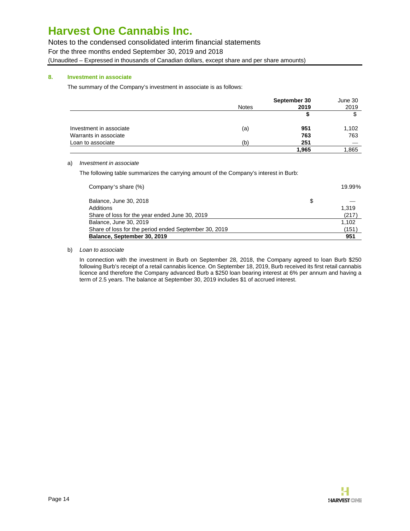Notes to the condensed consolidated interim financial statements

For the three months ended September 30, 2019 and 2018

(Unaudited – Expressed in thousands of Canadian dollars, except share and per share amounts)

### **8. Investment in associate**

The summary of the Company's investment in associate is as follows:

|                         |              | September 30 | June 30 |
|-------------------------|--------------|--------------|---------|
|                         | <b>Notes</b> | 2019         | 2019    |
|                         |              | S            | \$      |
| Investment in associate | (a)          | 951          | 1,102   |
| Warrants in associate   |              | 763          | 763     |
| Loan to associate       | (b)          | 251          |         |
|                         |              | 1,965        | 1,865   |

### a) Investment in associate

The following table summarizes the carrying amount of the Company's interest in Burb:

| Company's share (%)                                   |   | 19.99% |
|-------------------------------------------------------|---|--------|
| Balance, June 30, 2018                                | S |        |
| Additions                                             |   | 1.319  |
| Share of loss for the year ended June 30, 2019        |   | (217)  |
| Balance, June 30, 2019                                |   | 1.102  |
| Share of loss for the period ended September 30, 2019 |   | (151)  |
| Balance, September 30, 2019                           |   | 951    |

### b) Loan to associate

In connection with the investment in Burb on September 28, 2018, the Company agreed to loan Burb \$250 following Burb's receipt of a retail cannabis licence. On September 18, 2019, Burb received its first retail cannabis licence and therefore the Company advanced Burb a \$250 loan bearing interest at 6% per annum and having a term of 2.5 years. The balance at September 30, 2019 includes \$1 of accrued interest.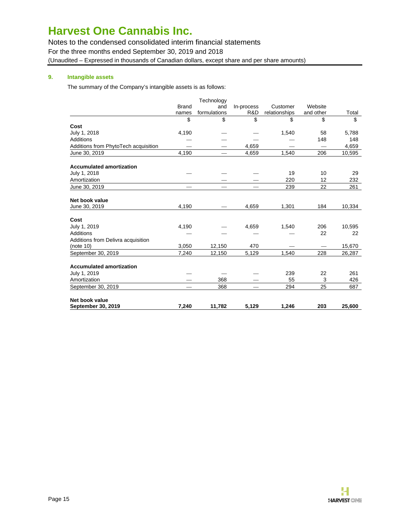Notes to the condensed consolidated interim financial statements

For the three months ended September 30, 2019 and 2018

(Unaudited – Expressed in thousands of Canadian dollars, except share and per share amounts)

### **9. Intangible assets**

The summary of the Company's intangible assets is as follows:

|                                      |              | Technology   |            |               |           |        |
|--------------------------------------|--------------|--------------|------------|---------------|-----------|--------|
|                                      | <b>Brand</b> | and          | In-process | Customer      | Website   |        |
|                                      | names        | formulations | R&D        | relationships | and other | Total  |
|                                      | \$           | \$           | \$         | \$            | \$        | \$     |
| Cost                                 |              |              |            |               |           |        |
| July 1, 2018                         | 4,190        |              |            | 1,540         | 58        | 5,788  |
| Additions                            |              |              |            |               | 148       | 148    |
| Additions from PhytoTech acquisition |              |              | 4,659      |               |           | 4,659  |
| June 30, 2019                        | 4,190        |              | 4,659      | 1,540         | 206       | 10,595 |
| <b>Accumulated amortization</b>      |              |              |            |               |           |        |
| July 1, 2018                         |              |              |            | 19            | 10        | 29     |
| Amortization                         |              |              |            | 220           | 12        | 232    |
| June 30, 2019                        |              |              |            | 239           | 22        | 261    |
| Net book value                       |              |              |            |               |           |        |
| June 30, 2019                        | 4,190        |              | 4,659      | 1,301         | 184       | 10,334 |
| Cost                                 |              |              |            |               |           |        |
| July 1, 2019                         | 4,190        |              | 4,659      | 1,540         | 206       | 10,595 |
| Additions                            |              |              |            |               | 22        | 22     |
| Additions from Delivra acquisition   |              |              |            |               |           |        |
| (note 10)                            | 3,050        | 12,150       | 470        |               |           | 15,670 |
| September 30, 2019                   | 7,240        | 12,150       | 5,129      | 1,540         | 228       | 26,287 |
| <b>Accumulated amortization</b>      |              |              |            |               |           |        |
| July 1, 2019                         |              |              |            | 239           | 22        | 261    |
| Amortization                         |              | 368          |            | 55            | 3         | 426    |
| September 30, 2019                   |              | 368          |            | 294           | 25        | 687    |
| Net book value                       |              |              |            |               |           |        |
| September 30, 2019                   | 7.240        | 11,782       | 5.129      | 1.246         | 203       | 25,600 |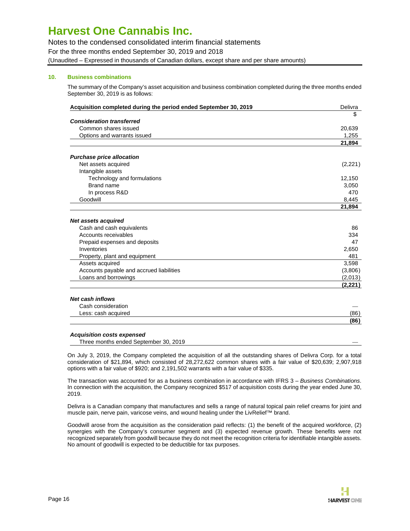Notes to the condensed consolidated interim financial statements

For the three months ended September 30, 2019 and 2018

(Unaudited – Expressed in thousands of Canadian dollars, except share and per share amounts)

### **10. Business combinations**

The summary of the Company's asset acquisition and business combination completed during the three months ended September 30, 2019 is as follows:

| Acquisition completed during the period ended September 30, 2019 | Delivra  |
|------------------------------------------------------------------|----------|
|                                                                  | \$       |
| <b>Consideration transferred</b>                                 |          |
| Common shares issued                                             | 20,639   |
| Options and warrants issued                                      | 1,255    |
|                                                                  | 21,894   |
| <b>Purchase price allocation</b>                                 |          |
| Net assets acquired                                              | (2,221)  |
| Intangible assets                                                |          |
| Technology and formulations                                      | 12,150   |
| Brand name                                                       | 3,050    |
| In process R&D                                                   | 470      |
| Goodwill                                                         | 8,445    |
|                                                                  | 21,894   |
| <b>Net assets acquired</b>                                       |          |
| Cash and cash equivalents                                        | 86       |
| Accounts receivables                                             | 334      |
| Prepaid expenses and deposits                                    | 47       |
| Inventories                                                      | 2,650    |
| Property, plant and equipment                                    | 481      |
| Assets acquired                                                  | 3,598    |
| Accounts payable and accrued liabilities                         | (3,806)  |
| Loans and borrowings                                             | (2,013)  |
|                                                                  | (2, 221) |
| <b>Net cash inflows</b>                                          |          |
| Cash consideration                                               |          |
| Less: cash acquired                                              | (86)     |

#### **Acquisition costs expensed**

Three months ended September 30, 2019

On July 3, 2019, the Company completed the acquisition of all the outstanding shares of Delivra Corp. for a total consideration of \$21,894, which consisted of 28,272,622 common shares with a fair value of \$20,639; 2,907,918 options with a fair value of \$920; and 2,191,502 warrants with a fair value of \$335.

The transaction was accounted for as a business combination in accordance with IFRS 3 - Business Combinations. In connection with the acquisition, the Company recognized \$517 of acquisition costs during the year ended June 30, 2019.

Delivra is a Canadian company that manufactures and sells a range of natural topical pain relief creams for joint and muscle pain, nerve pain, varicose veins, and wound healing under the LivRelief™ brand.

Goodwill arose from the acquisition as the consideration paid reflects: (1) the benefit of the acquired workforce, (2) synergies with the Company's consumer segment and (3) expected revenue growth. These benefits were not recognized separately from goodwill because they do not meet the recognition criteria for identifiable intangible assets. No amount of goodwill is expected to be deductible for tax purposes.

**(86)**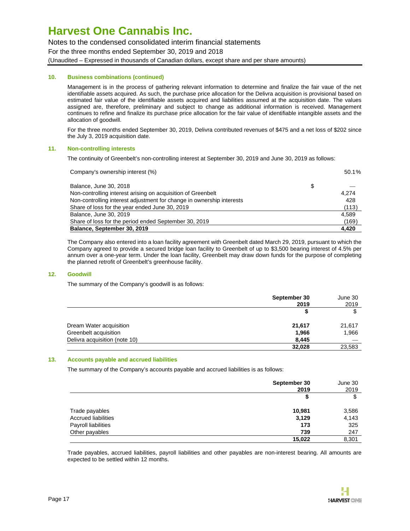Notes to the condensed consolidated interim financial statements

For the three months ended September 30, 2019 and 2018

(Unaudited – Expressed in thousands of Canadian dollars, except share and per share amounts)

### **10. Business combinations (continued)**

Management is in the process of gathering relevant information to determine and finalize the fair vaue of the net identifiable assets acquired. As such, the purchase price allocation for the Delivra acquisition is provisional based on estimated fair value of the identifiable assets acquired and liabilities assumed at the acquisition date. The values assigned are, therefore, preliminary and subject to change as additional information is received. Management continues to refine and finalize its purchase price allocation for the fair value of identifiable intangible assets and the allocation of goodwill.

For the three months ended September 30, 2019, Delivra contributed revenues of \$475 and a net loss of \$202 since the July 3, 2019 acquisition date.

### **11. Non-controlling interests**

The continuity of Greenbelt's non-controlling interest at September 30, 2019 and June 30, 2019 as follows:

| Company's ownership interest (%)                                      | 50.1% |
|-----------------------------------------------------------------------|-------|
| Balance, June 30, 2018                                                | \$    |
| Non-controlling interest arising on acquisition of Greenbelt          | 4.274 |
| Non-controlling interest adjustment for change in ownership interests | 428   |
| Share of loss for the year ended June 30, 2019                        | (113) |
| Balance, June 30, 2019                                                | 4.589 |
| Share of loss for the period ended September 30, 2019                 | (169) |
| Balance, September 30, 2019                                           | 4,420 |

The Company also entered into a loan facility agreement with Greenbelt dated March 29, 2019, pursuant to which the Company agreed to provide a secured bridge loan facility to Greenbelt of up to \$3,500 bearing interest of 4.5% per annum over a one-year term. Under the loan facility, Greenbelt may draw down funds for the purpose of completing the planned retrofit of Greenbelt's greenhouse facility.

### **12. Goodwill**

The summary of the Company's goodwill is as follows:

|                               | September 30<br>2019 | June 30<br>2019 |
|-------------------------------|----------------------|-----------------|
|                               | S                    | \$              |
| Dream Water acquisition       | 21,617               | 21,617          |
| Greenbelt acquisition         | 1,966                | 1,966           |
| Delivra acquisition (note 10) | 8,445                |                 |
|                               | 32,028               | 23,583          |

#### **13. Accounts payable and accrued liabilities**

The summary of the Company's accounts payable and accrued liabilities is as follows:

|                            | September 30<br>2019 | June 30<br>2019 |
|----------------------------|----------------------|-----------------|
|                            | \$                   | \$              |
| Trade payables             | 10,981               | 3,586           |
| <b>Accrued liabilities</b> | 3,129                | 4,143           |
| Payroll liabilities        | 173                  | 325             |
| Other payables             | 739                  | 247             |
|                            | 15,022               | 8,301           |

Trade payables, accrued liabilities, payroll liabilities and other payables are non-interest bearing. All amounts are expected to be settled within 12 months.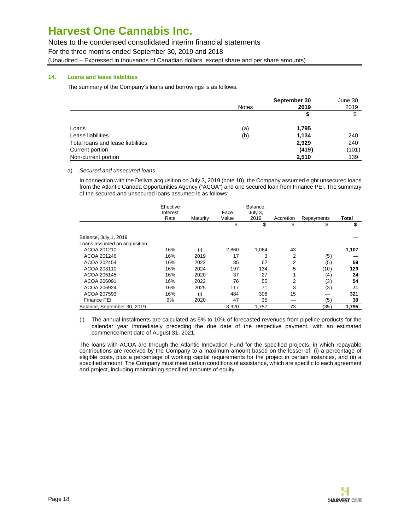Notes to the condensed consolidated interim financial statements

For the three months ended September 30, 2019 and 2018

(Unaudited – Expressed in thousands of Canadian dollars, except share and per share amounts)

### **14. Loans and lease liabilities**

The summary of the Company's loans and borrowings is as follows:

|                                   |              | September 30 | June 30 |
|-----------------------------------|--------------|--------------|---------|
|                                   | <b>Notes</b> | 2019         | 2019    |
|                                   |              |              | \$      |
| Loans                             | (a)          | 1,795        |         |
| Lease liabilities                 | (b)          | 1,134        | 240     |
| Total loans and lease liabilities |              | 2,929        | 240     |
| Current portion                   |              | (419)        | (101)   |
| Non-current portion               |              | 2,510        | 139     |

### a) Secured and unsecured loans

In connection with the Delivra acquisition on July 3, 2019 (note 10), the Company assumed eight unsecured loans from the Atlantic Canada Opportunities Agency ("ACOA") and one secured loan from Finance PEI. The summary of the secured and unsecured loans assumed is as follows:

|                              | Effective<br>Interest |          | Face  | Balance,<br>July 3. |           |            |       |
|------------------------------|-----------------------|----------|-------|---------------------|-----------|------------|-------|
|                              | Rate                  | Maturity | Value | 2019                | Accretion | Repayments | Total |
|                              |                       |          | \$    | \$                  | \$        | \$         | \$    |
| Balance, July 1, 2019        |                       |          |       |                     |           |            |       |
| Loans assumed on acquisition |                       |          |       |                     |           |            |       |
| ACOA 201210                  | 16%                   | (i)      | 2,860 | 1,064               | 43        |            | 1,107 |
| ACOA 201246                  | 16%                   | 2019     | 17    | 3                   | 2         | (5)        |       |
| ACOA 202454                  | 16%                   | 2022     | 85    | 62                  | 2         | (5)        | 59    |
| ACOA 203110                  | 16%                   | 2024     | 197   | 134                 | 5         | (10)       | 129   |
| ACOA 205145                  | 16%                   | 2020     | 37    | 27                  |           | (4)        | 24    |
| ACOA 206091                  | 16%                   | 2022     | 76    | 55                  | 2         | (3)        | 54    |
| ACOA 206924                  | 16%                   | 2025     | 117   | 71                  | 3         | (3)        | 71    |
| ACOA 207593                  | 16%                   | (i)      | 484   | 306                 | 15        |            | 321   |
| Finance PEI                  | 9%                    | 2020     | 47    | 35                  |           | (5)        | 30    |
| Balance, September 30, 2019  |                       |          | 3,920 | 1.757               | 73        | (35)       | 1.795 |

(i) The annual instalments are calculated as 5% to 10% of forecasted revenues from pipeline products for the calendar year immediately preceding the due date of the respective payment, with an estimated commencement date of August 31, 2021.

The loans with ACOA are through the Atlantic Innovation Fund for the specified projects, in which repayable contributions are received by the Company to a maximum amount based on the lesser of: (i) a percentage of eligible costs, plus a percentage of working capital requirements for the project in certain instances, and (ii) a specified amount. The Company must meet certain conditions of assistance, which are specific to each agreement and project, including maintaining specified amounts of equity.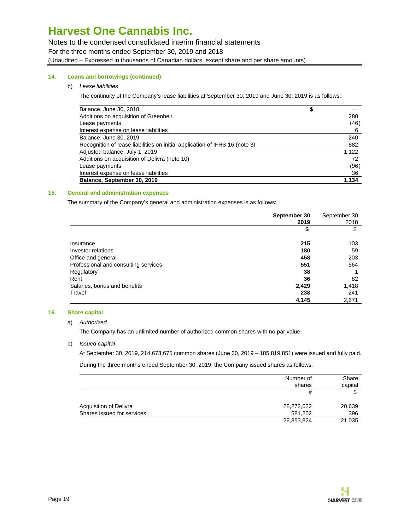Notes to the condensed consolidated interim financial statements

For the three months ended September 30, 2019 and 2018

(Unaudited – Expressed in thousands of Canadian dollars, except share and per share amounts)

### **14. Loans and borrowings (continued)**

### b) Lease liabilities

The continuity of the Company's lease liabilities at September 30, 2019 and June 30, 2019 is as follows:

| Balance, June 30, 2018                                                      | \$    |
|-----------------------------------------------------------------------------|-------|
| Additions on acquisition of Greenbelt                                       | 280   |
| Lease payments                                                              | (46)  |
| Interest expense on lease liabilities                                       | 6     |
| Balance, June 30, 2019                                                      | 240   |
| Recognition of lease liabilities on initial application of IFRS 16 (note 3) | 882   |
| Adjusted balance, July 1, 2019                                              | 1.122 |
| Additions on acquisition of Delivra (note 10)                               | 72    |
| Lease payments                                                              | (96)  |
| Interest expense on lease liabilities                                       | 36    |
| Balance, September 30, 2019                                                 | 1.134 |

### **15. General and administration expenses**

The summary of the Company's general and administration expenses is as follows:

|                                      | September 30 | September 30 |
|--------------------------------------|--------------|--------------|
|                                      | 2019         | 2018         |
|                                      | \$           | \$           |
| Insurance                            | 215          | 103          |
| Investor relations                   | 180          | 59           |
| Office and general                   | 458          | 203          |
| Professional and consulting services | 551          | 564          |
| Regulatory                           | 38           |              |
| Rent                                 | 36           | 82           |
| Salaries, bonus and benefits         | 2,429        | 1,418        |
| Travel                               | 238          | 241          |
|                                      | 4,145        | 2,671        |

### **16. Share capital**

### a) Authorized

The Company has an unlimited number of authorized common shares with no par value.

### b) Issued capital

At September 30, 2019, 214,673,675 common shares (June 30, 2019 – 185,819,851) were issued and fully paid.

During the three months ended September 30, 2019, the Company issued shares as follows:

|                            | Number of<br>shares | Share<br>capital |
|----------------------------|---------------------|------------------|
|                            | #                   | \$               |
| Acquisition of Delivra     | 28,272,622          | 20,639           |
| Shares issued for services | 581.202             | 396              |
|                            | 28,853,824          | 21,035           |

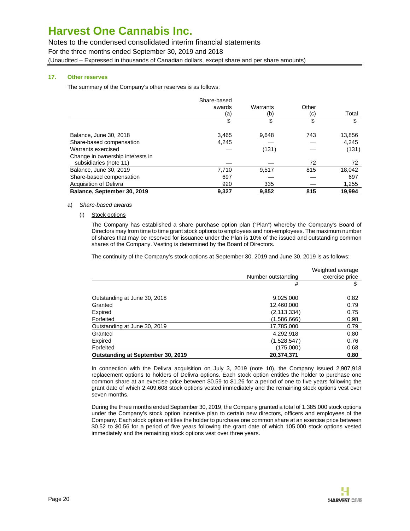Notes to the condensed consolidated interim financial statements

For the three months ended September 30, 2019 and 2018

(Unaudited – Expressed in thousands of Canadian dollars, except share and per share amounts)

### **17. Other reserves**

The summary of the Company's other reserves is as follows:

|                                  | Share-based |          |       |        |
|----------------------------------|-------------|----------|-------|--------|
|                                  | awards      | Warrants | Other |        |
|                                  | (a)         | (b)      | (c)   | Total  |
|                                  | \$          | \$       | \$    | \$     |
| Balance, June 30, 2018           | 3,465       | 9.648    | 743   | 13,856 |
| Share-based compensation         | 4,245       |          |       | 4,245  |
| Warrants exercised               |             | (131)    |       | (131)  |
| Change in ownership interests in |             |          |       |        |
| subsidiaries (note 11)           |             |          | 72    | 72     |
| Balance, June 30, 2019           | 7.710       | 9,517    | 815   | 18,042 |
| Share-based compensation         | 697         |          |       | 697    |
| <b>Acquisition of Delivra</b>    | 920         | 335      |       | 1,255  |
| Balance, September 30, 2019      | 9.327       | 9.852    | 815   | 19.994 |

#### a) Share-based awards

(i) Stock options

The Company has established a share purchase option plan ("Plan") whereby the Company's Board of Directors may from time to time grant stock options to employees and non-employees. The maximum number of shares that may be reserved for issuance under the Plan is 10% of the issued and outstanding common shares of the Company. Vesting is determined by the Board of Directors.

The continuity of the Company's stock options at September 30, 2019 and June 30, 2019 is as follows:

|                                          | Number outstanding | Weighted average<br>exercise price |
|------------------------------------------|--------------------|------------------------------------|
|                                          | #                  | S                                  |
| Outstanding at June 30, 2018             | 9,025,000          | 0.82                               |
| Granted                                  | 12,460,000         | 0.79                               |
| Expired                                  | (2, 113, 334)      | 0.75                               |
| Forfeited                                | (1,586,666)        | 0.98                               |
| Outstanding at June 30, 2019             | 17,785,000         | 0.79                               |
| Granted                                  | 4,292,918          | 0.80                               |
| Expired                                  | (1,528,547)        | 0.76                               |
| Forfeited                                | (175,000)          | 0.68                               |
| <b>Outstanding at September 30, 2019</b> | 20,374,371         | 0.80                               |

In connection with the Delivra acquisition on July 3, 2019 (note 10), the Company issued 2,907,918 replacement options to holders of Delivra options. Each stock option entitles the holder to purchase one common share at an exercise price between \$0.59 to \$1.26 for a period of one to five years following the grant date of which 2,409,608 stock options vested immediately and the remaining stock options vest over seven months.

During the three months ended September 30, 2019, the Company granted a total of 1,385,000 stock options under the Company's stock option incentive plan to certain new directors, officers and employees of the Company. Each stock option entitles the holder to purchase one common share at an exercise price between \$0.52 to \$0.56 for a period of five years following the grant date of which 105,000 stock options vested immediately and the remaining stock options vest over three years.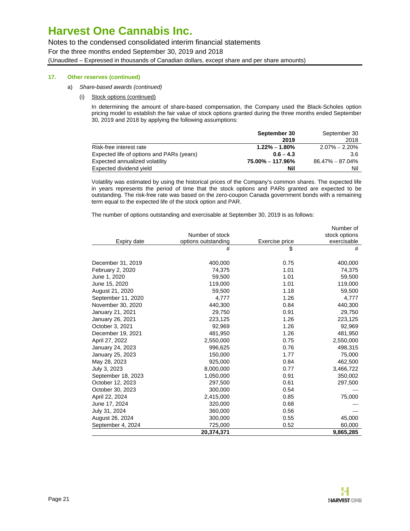Notes to the condensed consolidated interim financial statements

For the three months ended September 30, 2019 and 2018

(Unaudited – Expressed in thousands of Canadian dollars, except share and per share amounts)

### **17. Other reserves (continued)**

- a) Share-based awards (continued)
	- (i) Stock options (continued)

In determining the amount of share-based compensation, the Company used the Black-Scholes option pricing model to establish the fair value of stock options granted during the three months ended September 30, 2019 and 2018 by applying the following assumptions:

|                                           | September 30      | September 30        |
|-------------------------------------------|-------------------|---------------------|
|                                           | 2019              | 2018                |
| Risk-free interest rate                   | $1.22\% - 1.80\%$ | $2.07\% - 2.20\%$   |
| Expected life of options and PARs (years) | $0.6 - 4.3$       | 3.6                 |
| Expected annualized volatility            | 75.00% - 117.96%  | $86.47\% - 87.04\%$ |
| Expected dividend yield                   | Nil               | Nil                 |

Volatility was estimated by using the historical prices of the Company's common shares. The expected life in years represents the period of time that the stock options and PARs granted are expected to be outstanding. The risk-free rate was based on the zero-coupon Canada government bonds with a remaining term equal to the expected life of the stock option and PAR.

The number of options outstanding and exercisable at September 30, 2019 is as follows:

|                    |                     |                | Number of     |
|--------------------|---------------------|----------------|---------------|
|                    | Number of stock     |                | stock options |
| Expiry date        | options outstanding | Exercise price | exercisable   |
|                    | #                   | \$             | #             |
| December 31, 2019  | 400,000             | 0.75           | 400,000       |
| February 2, 2020   | 74,375              | 1.01           | 74,375        |
| June 1, 2020       | 59,500              | 1.01           | 59,500        |
| June 15, 2020      | 119,000             | 1.01           | 119,000       |
| August 21, 2020    | 59,500              | 1.18           | 59,500        |
| September 11, 2020 | 4,777               | 1.26           | 4,777         |
| November 30, 2020  | 440,300             | 0.84           | 440,300       |
| January 21, 2021   | 29,750              | 0.91           | 29,750        |
| January 26, 2021   | 223.125             | 1.26           | 223,125       |
| October 3, 2021    | 92.969              | 1.26           | 92,969        |
| December 19, 2021  | 481,950             | 1.26           | 481,950       |
| April 27, 2022     | 2,550,000           | 0.75           | 2,550,000     |
| January 24, 2023   | 996,625             | 0.76           | 498,315       |
| January 25, 2023   | 150,000             | 1.77           | 75,000        |
| May 28, 2023       | 925,000             | 0.84           | 462,500       |
| July 3, 2023       | 8,000,000           | 0.77           | 3,466,722     |
| September 18, 2023 | 1,050,000           | 0.91           | 350,002       |
| October 12, 2023   | 297,500             | 0.61           | 297,500       |
| October 30, 2023   | 300,000             | 0.54           |               |
| April 22, 2024     | 2,415,000           | 0.85           | 75,000        |
| June 17, 2024      | 320,000             | 0.68           |               |
| July 31, 2024      | 360,000             | 0.56           |               |
| August 26, 2024    | 300,000             | 0.55           | 45,000        |
| September 4, 2024  | 725,000             | 0.52           | 60,000        |
|                    | 20,374,371          |                | 9,865,285     |

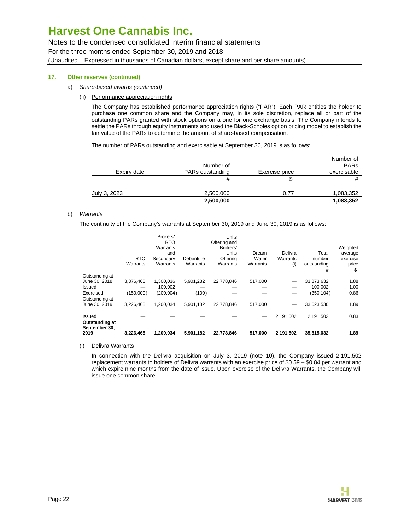Notes to the condensed consolidated interim financial statements

For the three months ended September 30, 2019 and 2018

(Unaudited – Expressed in thousands of Canadian dollars, except share and per share amounts)

### **17. Other reserves (continued)**

- a) Share-based awards (continued)
	- (ii) Performance appreciation rights

The Company has established performance appreciation rights ("PAR"). Each PAR entitles the holder to purchase one common share and the Company may, in its sole discretion, replace all or part of the outstanding PARs granted with stock options on a one for one exchange basis. The Company intends to settle the PARs through equity instruments and used the Black-Scholes option pricing model to establish the fair value of the PARs to determine the amount of share-based compensation.

The number of PARs outstanding and exercisable at September 30, 2019 is as follows:

|              | 2,500,000                     |                | 1,083,352                               |
|--------------|-------------------------------|----------------|-----------------------------------------|
| July 3, 2023 | 2,500,000                     | 0.77           | 1,083,352                               |
|              | #                             |                | #                                       |
| Expiry date  | Number of<br>PARs outstanding | Exercise price | Number of<br><b>PARs</b><br>exercisable |

### b) Warrants

The continuity of the Company's warrants at September 30, 2019 and June 30, 2019 is as follows:

|                                 | <b>RTO</b> | Brokers'<br><b>RTO</b><br>Warrants<br>and<br>Secondary | Debenture | Units<br>Offering and<br>Brokers'<br><b>Units</b><br>Offering | Dream<br>Water | Delivra<br>Warrants | Total<br>number | Weighted<br>average<br>exercise |
|---------------------------------|------------|--------------------------------------------------------|-----------|---------------------------------------------------------------|----------------|---------------------|-----------------|---------------------------------|
|                                 | Warrants   | Warrants                                               | Warrants  | Warrants                                                      | Warrants       | (i)                 | outstanding     | price                           |
|                                 |            |                                                        |           |                                                               |                |                     | #               | \$                              |
| Outstanding at                  |            |                                                        |           |                                                               |                |                     |                 |                                 |
| June 30, 2018                   | 3,376,468  | 1,300,036                                              | 5,901,282 | 22,778,846                                                    | 517,000        | _                   | 33,873,632      | 1.88                            |
| Issued                          |            | 100.002                                                |           |                                                               |                |                     | 100.002         | 1.00                            |
| Exercised                       | (150,000)  | (200,004)                                              | (100)     |                                                               |                |                     | (350, 104)      | 0.86                            |
| Outstanding at                  |            |                                                        |           |                                                               |                |                     |                 |                                 |
| June 30, 2019                   | 3.226.468  | 1.200.034                                              | 5.901.182 | 22.778.846                                                    | 517.000        |                     | 33,623,530      | 1.89                            |
|                                 |            |                                                        |           |                                                               |                |                     |                 |                                 |
| Issued                          |            |                                                        |           |                                                               |                | 2,191,502           | 2,191,502       | 0.83                            |
| Outstanding at<br>September 30. |            |                                                        |           |                                                               |                |                     |                 |                                 |
| 2019                            | 3,226,468  | 1,200,034                                              | 5,901,182 | 22,778,846                                                    | 517,000        | 2,191,502           | 35,815,032      | 1.89                            |

(i) Delivra Warrants

In connection with the Delivra acquisition on July 3, 2019 (note 10), the Company issued 2,191,502 replacement warrants to holders of Delivra warrants with an exercise price of \$0.59 – \$0.84 per warrant and which expire nine months from the date of issue. Upon exercise of the Delivra Warrants, the Company will issue one common share.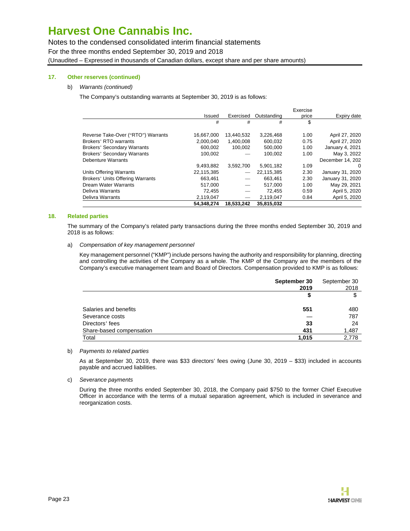Notes to the condensed consolidated interim financial statements

For the three months ended September 30, 2019 and 2018

(Unaudited – Expressed in thousands of Canadian dollars, except share and per share amounts)

### **17. Other reserves (continued)**

### b) Warrants (continued)

The Company's outstanding warrants at September 30, 2019 is as follows:

|                                         |            |                          |             | Exercise |                  |
|-----------------------------------------|------------|--------------------------|-------------|----------|------------------|
|                                         | Issued     | Exercised                | Outstanding | price    | Expiry date      |
|                                         | #          | #                        | #           | \$       |                  |
| Reverse Take-Over ("RTO") Warrants      | 16.667.000 | 13.440.532               | 3,226,468   | 1.00     | April 27, 2020   |
| Brokers' RTO warrants                   | 2,000,040  | 1,400,008                | 600,032     | 0.75     | April 27, 2020   |
| <b>Brokers' Secondary Warrants</b>      | 600.002    | 100,002                  | 500.000     | 1.00     | January 4, 2021  |
| <b>Brokers' Secondary Warrants</b>      | 100.002    |                          | 100.002     | 1.00     | May 3, 2022      |
| Debenture Warrants                      |            |                          |             |          | December 14, 202 |
|                                         | 9,493,882  | 3,592,700                | 5,901,182   | 1.09     | $\Omega$         |
| Units Offering Warrants                 | 22.115.385 |                          | 22.115.385  | 2.30     | January 31, 2020 |
| <b>Brokers' Units Offering Warrants</b> | 663.461    |                          | 663.461     | 2.30     | January 31, 2020 |
| Dream Water Warrants                    | 517,000    | $\overline{\phantom{0}}$ | 517.000     | 1.00     | May 29, 2021     |
| Delivra Warrants                        | 72,455     |                          | 72.455      | 0.59     | April 5, 2020    |
| Delivra Warrants                        | 2,119,047  | $\overline{\phantom{0}}$ | 2,119,047   | 0.84     | April 5, 2020    |
|                                         | 54.348.274 | 18.533.242               | 35.815.032  |          |                  |

### **18. Related parties**

The summary of the Company's related party transactions during the three months ended September 30, 2019 and 2018 is as follows:

#### a) Compensation of key management personnel

Key management personnel ("KMP") include persons having the authority and responsibility for planning, directing and controlling the activities of the Company as a whole. The KMP of the Company are the members of the Company's executive management team and Board of Directors. Compensation provided to KMP is as follows:

|                          | September 30<br>2019 | September 30<br>2018 |
|--------------------------|----------------------|----------------------|
|                          | \$                   | \$                   |
| Salaries and benefits    | 551                  | 480                  |
| Severance costs          |                      | 787                  |
| Directors' fees          | 33                   | 24                   |
| Share-based compensation | 431                  | 1,487                |
| Total                    | 1,015                | 2,778                |

### b) Payments to related parties

As at September 30, 2019, there was \$33 directors' fees owing (June 30, 2019 – \$33) included in accounts payable and accrued liabilities.

c) Severance payments

During the three months ended September 30, 2018, the Company paid \$750 to the former Chief Executive Officer in accordance with the terms of a mutual separation agreement, which is included in severance and reorganization costs.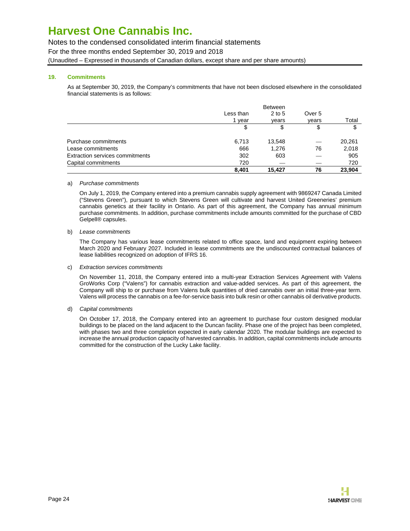### Notes to the condensed consolidated interim financial statements

For the three months ended September 30, 2019 and 2018

(Unaudited – Expressed in thousands of Canadian dollars, except share and per share amounts)

### **19. Commitments**

As at September 30, 2019, the Company's commitments that have not been disclosed elsewhere in the consolidated financial statements is as follows:

|                                        |           | <b>Between</b> |        |        |
|----------------------------------------|-----------|----------------|--------|--------|
|                                        | Less than | $2$ to 5       | Over 5 |        |
|                                        | year      | vears          | vears  | Total  |
|                                        | \$        | \$             | \$     | \$     |
| Purchase commitments                   | 6,713     | 13,548         | _      | 20,261 |
| Lease commitments                      | 666       | 1.276          | 76     | 2,018  |
| <b>Extraction services commitments</b> | 302       | 603            |        | 905    |
| Capital commitments                    | 720       |                |        | 720    |
|                                        | 8.401     | 15.427         | 76     | 23.904 |

### a) Purchase commitments

On July 1, 2019, the Company entered into a premium cannabis supply agreement with 9869247 Canada Limited ("Stevens Green"), pursuant to which Stevens Green will cultivate and harvest United Greeneries' premium cannabis genetics at their facility in Ontario. As part of this agreement, the Company has annual minimum purchase commitments. In addition, purchase commitments include amounts committed for the purchase of CBD Gelpell® capsules.

### b) Lease commitments

The Company has various lease commitments related to office space, land and equipment expiring between March 2020 and February 2027. Included in lease commitments are the undiscounted contractual balances of lease liabilities recognized on adoption of IFRS 16.

### c) Extraction services commitments

On November 11, 2018, the Company entered into a multi-year Extraction Services Agreement with Valens GroWorks Corp ("Valens") for cannabis extraction and value-added services. As part of this agreement, the Company will ship to or purchase from Valens bulk quantities of dried cannabis over an initial three-year term. Valens will process the cannabis on a fee-for-service basis into bulk resin or other cannabis oil derivative products.

### d) Capital commitments

On October 17, 2018, the Company entered into an agreement to purchase four custom designed modular buildings to be placed on the land adjacent to the Duncan facility. Phase one of the project has been completed, with phases two and three completion expected in early calendar 2020. The modular buildings are expected to increase the annual production capacity of harvested cannabis. In addition, capital commitments include amounts committed for the construction of the Lucky Lake facility.

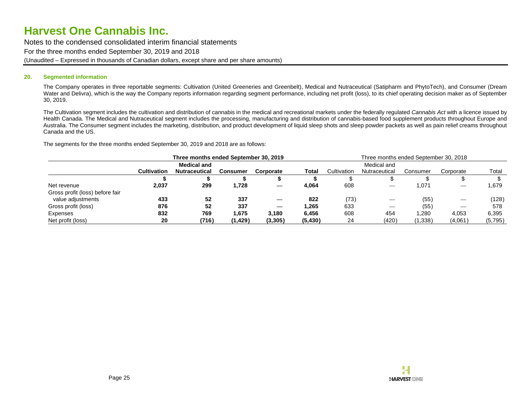Notes to the condensed consolidated interim financial statements For the three months ended September 30, 2019 and 2018 (Unaudited – Expressed in thousands of Canadian dollars, except share and per share amounts)

#### **20. Segmented information**

The Company operates in three reportable segments: Cultivation (United Greeneries and Greenbelt), Medical and Nutraceutical (Satipharm and PhytoTech), and Consumer (Dream Water and Delivra), which is the way the Company reports information regarding segment performance, including net profit (loss), to its chief operating decision maker as of September 30, 2019.

The Cultivation segment includes the cultivation and distribution of cannabis in the medical and recreational markets under the federally regulated Cannabis Act with a licence issued by Health Canada. The Medical and Nutraceutical segment includes the processing, manufacturing and distribution of cannabis-based food supplement products throughout Europe and Australia. The Consumer segment includes the marketing, distribution, and product development of liquid sleep shots and sleep powder packets as well as pain relief creams throughout Canada and the US.

The segments for the three months ended September 30, 2019 and 2018 are as follows:

|                                 | Three months ended September 30, 2019 |                      |          |           | Three months ended September 30, 2018 |             |               |          |                  |         |
|---------------------------------|---------------------------------------|----------------------|----------|-----------|---------------------------------------|-------------|---------------|----------|------------------|---------|
|                                 |                                       | <b>Medical and</b>   |          |           |                                       | Medical and |               |          |                  |         |
|                                 | Cultivation                           | <b>Nutraceutical</b> | Consumer | Corporate | Total                                 | Cultivation | Nutraceutical | Consumer | Corporate        | Total   |
|                                 |                                       |                      |          |           |                                       |             |               |          |                  |         |
| Net revenue                     | 2,037                                 | 299                  | 1,728    |           | 4,064                                 | 608         |               | .071     |                  | 1,679   |
| Gross profit (loss) before fair |                                       |                      |          |           |                                       |             |               |          |                  |         |
| value adjustments               | 433                                   | 52                   | 337      |           | 822                                   | (73)        | _             | (55)     |                  | (128)   |
| Gross profit (loss)             | 876                                   | 52                   | 337      |           | 1,265                                 | 633         |               | (55)     | $\hspace{0.5cm}$ | 578     |
| Expenses                        | 832                                   | 769                  | 1,675    | 3.180     | 6.456                                 | 608         | 454           | ,280     | 4,053            | 6,395   |
| Net profit (loss)               | 20                                    | (716)                | (1, 429) | (3, 305)  | (5, 430)                              | 24          | (420)         | (1,338)  | (4,061)          | (5,795) |